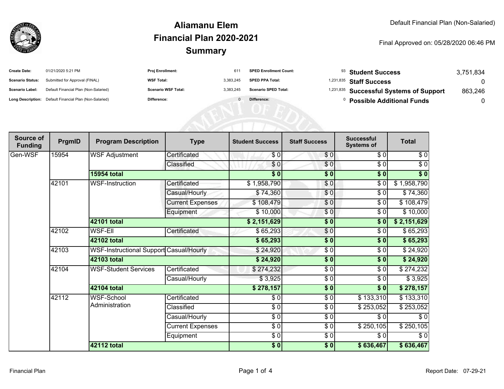

#### **SummaryAliamanu ElemFinancial Plan 2020-2021**

#### Final Approved on: 05/28/2020 06:46 PM

| <b>Create Date:</b>     | 01/21/2020 5:21 PM                                      | <b>Proj Enrollment:</b>    | 611       | <b>SPED Enrollment Count:</b> | $93$ Student Success                               | 3.751.834 |
|-------------------------|---------------------------------------------------------|----------------------------|-----------|-------------------------------|----------------------------------------------------|-----------|
| <b>Scenario Status:</b> | Submitted for Approval (FINAL)                          | <b>WSF Total:</b>          | 3.383.245 | <b>SPED PPA Total:</b>        | $1,231,835$ Staff Success                          |           |
| <b>Scenario Label:</b>  | Default Financial Plan (Non-Salaried)                   | <b>Scenario WSF Total:</b> | 3.383.245 | <b>Scenario SPED Total:</b>   | <sup>1,231,835</sup> Successful Systems of Support | 863.246   |
|                         | Long Description: Default Financial Plan (Non-Salaried) | <b>Difference:</b>         |           | Difference:                   | <b>Possible Additional Funds</b>                   |           |

AFNI ULED

| Source of<br><b>Funding</b> | PrgmID | <b>Program Description</b>                     | <b>Type</b>             | <b>Student Success</b>   | <b>Staff Success</b> | <b>Successful</b><br><b>Systems of</b> | <b>Total</b> |
|-----------------------------|--------|------------------------------------------------|-------------------------|--------------------------|----------------------|----------------------------------------|--------------|
| Gen-WSF                     | 15954  | <b>WSF Adjustment</b>                          | Certificated            | \$0                      | \$0                  | \$0                                    | \$0          |
|                             |        |                                                | Classified              | $\frac{6}{3}$            | $\frac{6}{3}$        | $\sqrt{6}$                             | $\sqrt{6}$   |
|                             |        | <b>15954 total</b>                             |                         | $\overline{\$0}$         | \$0                  | $\sqrt{6}$                             | \$0          |
|                             | 42101  | <b>WSF-Instruction</b>                         | Certificated            | \$1,958,790              | \$0                  | $\frac{1}{\sqrt{2}}$                   | \$1,958,790  |
|                             |        |                                                | Casual/Hourly           | \$74,360                 | \$0                  | \$0                                    | \$74,360     |
|                             |        |                                                | <b>Current Expenses</b> | \$108,479                | \$0                  | \$0                                    | \$108,479    |
|                             |        |                                                | Equipment               | \$10,000                 | \$0                  | \$0                                    | \$10,000     |
|                             |        | <b>42101 total</b>                             |                         | \$2,151,629              | $\frac{1}{2}$        | $\sqrt{6}$                             | \$2,151,629  |
|                             | 42102  | <b>WSF-Ell</b>                                 | Certificated            | \$65,293                 | \$0                  | \$0                                    | \$65,293     |
|                             |        | 42102 total                                    |                         | \$65,293                 | $\frac{1}{2}$        | \$0                                    | \$65,293     |
|                             | 42103  | <b>WSF-Instructional Support Casual/Hourly</b> |                         | \$24,920                 | \$0                  | \$0                                    | \$24,920     |
|                             |        | <b>42103 total</b>                             |                         | \$24,920                 | $\frac{1}{2}$        | $\overline{\$0}$                       | \$24,920     |
|                             | 42104  | <b>WSF-Student Services</b>                    | Certificated            | \$274,232                | $\frac{3}{2}$        | \$0                                    | \$274,232    |
|                             |        |                                                | Casual/Hourly           | \$3,925                  | $\frac{3}{2}$        | \$0                                    | \$3,925      |
|                             |        | <b>42104 total</b>                             |                         | \$278,157                | \$0                  | \$0                                    | \$278,157    |
|                             | 42112  | <b>WSF-School</b>                              | Certificated            | \$0                      | \$0                  | \$133,310                              | \$133,310    |
|                             |        | Administration                                 | Classified              | $\sqrt{3}$               | $\frac{3}{2}$        | \$253,052                              | \$253,052    |
|                             |        |                                                | Casual/Hourly           | $\frac{6}{6}$            | $\frac{3}{2}$        | \$0                                    | \$0          |
|                             |        |                                                | <b>Current Expenses</b> | $\overline{\frac{1}{2}}$ | \$0                  | \$250,105                              | \$250,105    |
|                             |        |                                                | Equipment               | $\frac{6}{6}$            | \$0                  | \$0                                    | $\sqrt{6}$   |
|                             |        | <b>42112 total</b>                             |                         | \$0]                     | $\frac{1}{2}$        | \$636,467                              | \$636,467    |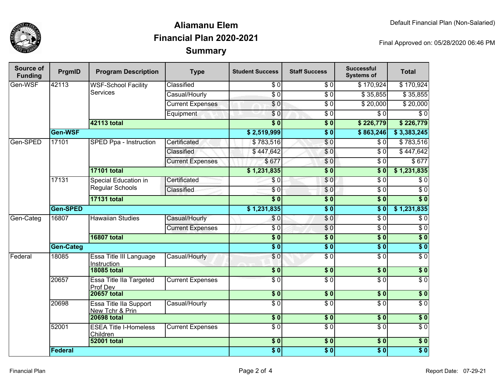

## **SummaryAliamanu ElemFinancial Plan 2020-2021**

Final Approved on: 05/28/2020 06:46 PM

| Source of<br><b>Funding</b> | PrgmID           | <b>Program Description</b>                     | <b>Type</b>             | <b>Student Success</b> | <b>Staff Success</b> | <b>Successful</b><br><b>Systems of</b> | <b>Total</b>     |
|-----------------------------|------------------|------------------------------------------------|-------------------------|------------------------|----------------------|----------------------------------------|------------------|
| Gen-WSF                     | 42113            | <b>WSF-School Facility</b><br><b>Services</b>  | Classified              | \$0                    | $\frac{3}{6}$        | $\overline{$}3\overline{170,}924$      | \$170,924        |
|                             |                  |                                                | Casual/Hourly           | $\overline{S}0$        | $\overline{S}0$      | \$35,855                               | \$35,855         |
|                             |                  |                                                | <b>Current Expenses</b> | $\overline{\$0}$       | $\overline{\$0}$     | \$20,000                               | \$20,000         |
|                             |                  |                                                | Equipment               | \$0                    | $\overline{30}$      | $\overline{\$0}$                       | $\sqrt{6}$       |
|                             |                  | 42113 total                                    |                         | $\overline{\$0}$       | $\overline{\$0}$     | \$226,779                              | \$226,779        |
|                             | Gen-WSF          |                                                |                         | \$2,519,999            | $\overline{\$0}$     | \$863,246                              | \$3,383,245      |
| Gen-SPED                    | 17101            | SPED Ppa - Instruction                         | Certificated            | \$783,516              | \$0                  | $\overline{\$0}$                       | \$783,516        |
|                             |                  |                                                | Classified              | \$447,642              | $\overline{0}$       | $\overline{\$0}$                       | \$447,642        |
|                             |                  |                                                | <b>Current Expenses</b> | \$677                  | \$0                  | $\overline{\$0}$                       | \$677            |
|                             |                  | <b>17101 total</b>                             |                         | \$1,231,835            | $\overline{\$0}$     | $\overline{\$0}$                       | \$1,231,835      |
|                             | 17131            | <b>Special Education in</b><br>Regular Schools | Certificated            | $\sqrt{0}$             | \$0                  | $\overline{\$0}$                       | $\sqrt{6}$       |
|                             |                  |                                                | Classified              | $\overline{\$0}$       | \$0                  | $\overline{\$0}$                       | $\sqrt{6}$       |
|                             |                  | <b>17131 total</b>                             |                         | $\overline{\$0}$       | $\overline{\$0}$     | $\overline{\bullet}$                   | $\overline{\$0}$ |
|                             | Gen-SPED         |                                                |                         | \$1,231,835            | $\overline{\$0}$     | $\overline{\$0}$                       | \$1,231,835      |
| Gen-Categ                   | 16807            | <b>Hawaiian Studies</b>                        | Casual/Hourly           | \$0                    | \$0                  | $\overline{\$0}$                       | $\overline{60}$  |
|                             |                  |                                                | <b>Current Expenses</b> | $\overline{\$0}$       | $\overline{60}$      | $\overline{\$0}$                       | \$0              |
|                             |                  | <b>16807 total</b>                             |                         | $\overline{\$0}$       | $\overline{\$0}$     | $\overline{\$0}$                       | $\overline{\$0}$ |
|                             | <b>Gen-Categ</b> |                                                |                         | $\overline{\bullet}$   | $\overline{\$0}$     | $\overline{\$0}$                       | $\overline{\$0}$ |
| Federal                     | 18085            | Essa Title III Language<br>Instruction         | Casual/Hourly           | \$0                    | $\overline{S}0$      | $\overline{\$0}$                       | $\overline{\$0}$ |
|                             |                  | <b>18085 total</b>                             |                         | $\overline{\$0}$       | $\overline{\$0}$     | 30                                     | $\overline{\$0}$ |
|                             | 20657            | <b>Essa Title Ila Targeted</b><br>Prof Dev     | <b>Current Expenses</b> | $\overline{\$0}$       | $\overline{\$0}$     | $\overline{\$0}$                       | $\overline{\$0}$ |
|                             |                  | <b>20657 total</b>                             |                         | $\overline{\$0}$       | $\overline{\$0}$     | $\overline{\$0}$                       | $\overline{\$0}$ |
|                             | 20698            | Essa Title IIa Support<br>New Tchr & Prin      | Casual/Hourly           | $\overline{S}0$        | $\overline{S}0$      | $\sqrt{6}$                             | $\overline{\$0}$ |
|                             |                  | <b>20698 total</b>                             |                         | $\overline{\$0}$       | $\overline{\$0}$     | $\overline{\$0}$                       | $\overline{\$0}$ |
|                             | 52001            | <b>ESEA Title I-Homeless</b><br>Children       | <b>Current Expenses</b> | $\overline{S}0$        | $\overline{S}0$      | $\overline{\$0}$                       | $\overline{\$0}$ |
|                             |                  | <b>52001 total</b>                             |                         | \$0                    | $\overline{\$0}$     | $\overline{\$0}$                       | $\overline{\$0}$ |
|                             | <b>Federal</b>   |                                                |                         | $\overline{\$0}$       | $\overline{\$0}$     | $\overline{\$0}$                       | $\overline{\$0}$ |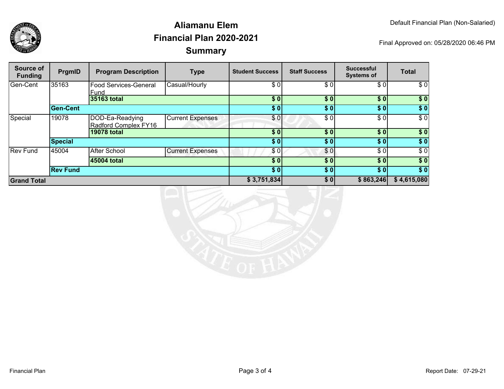

## **SummaryAliamanu ElemFinancial Plan 2020-2021**

Final Approved on: 05/28/2020 06:46 PM

| Source of<br><b>Funding</b> | PrgmID          | <b>Program Description</b>              | <b>Type</b>             | <b>Student Success</b> | <b>Staff Success</b> | <b>Successful</b><br><b>Systems of</b> | <b>Total</b> |
|-----------------------------|-----------------|-----------------------------------------|-------------------------|------------------------|----------------------|----------------------------------------|--------------|
| Gen-Cent                    | 35163           | <b>Food Services-General</b><br>Fund    | Casual/Hourly           | \$ OI                  | \$0                  | \$0                                    | \$0          |
|                             |                 | 35163 total                             |                         | \$0                    | \$0                  | \$0]                                   | \$0          |
|                             | <b>Gen-Cent</b> |                                         |                         | \$0]                   | \$0                  | \$0]                                   | $\sqrt{ }$   |
| Special                     | 19078           | DOD-Ea-Readying<br>Radford Complex FY16 | <b>Current Expenses</b> | \$0                    | \$0                  | \$0                                    | \$0          |
|                             |                 | 19078 total                             |                         | \$0                    | \$0                  | \$0]                                   | \$0          |
|                             | Special         |                                         |                         | \$0                    | \$0                  | \$0]                                   | \$0          |
| <b>Rev Fund</b>             | 45004           | <b>After School</b>                     | <b>Current Expenses</b> | \$0                    | \$0                  | \$0]                                   | \$0          |
|                             |                 | 45004 total                             |                         | \$0                    | \$0                  | \$0                                    | $\sqrt{6}$   |
|                             | <b>Rev Fund</b> |                                         |                         | \$0]                   | \$0                  | \$0]                                   | \$0          |
| <b>Grand Total</b>          |                 |                                         | \$3,751,834             | \$0                    | \$863,246            | \$4,615,080                            |              |